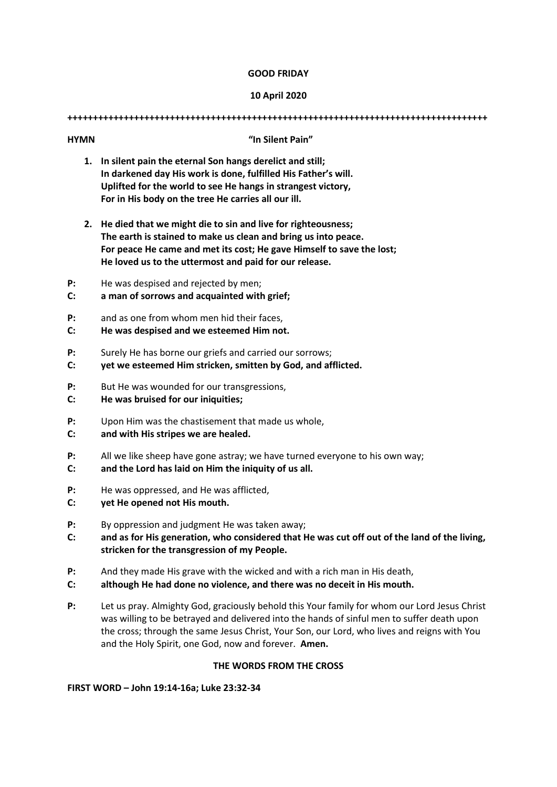### **GOOD FRIDAY**

### **10 April 2020**

**++++++++++++++++++++++++++++++++++++++++++++++++++++++++++++++++++++++++++++++++++**

# **1. In silent pain the eternal Son hangs derelict and still; In darkened day His work is done, fulfilled His Father's will. Uplifted for the world to see He hangs in strangest victory, For in His body on the tree He carries all our ill. 2. He died that we might die to sin and live for righteousness; The earth is stained to make us clean and bring us into peace. For peace He came and met its cost; He gave Himself to save the lost; He loved us to the uttermost and paid for our release. P:** He was despised and rejected by men; **C: a man of sorrows and acquainted with grief; P:** and as one from whom men hid their faces, **C: He was despised and we esteemed Him not. P:** Surely He has borne our griefs and carried our sorrows; **C: yet we esteemed Him stricken, smitten by God, and afflicted.**

**P:** But He was wounded for our transgressions,

**HYMN "In Silent Pain"**

- **C: He was bruised for our iniquities;**
- **P:** Upon Him was the chastisement that made us whole,
- **C: and with His stripes we are healed.**
- **P:** All we like sheep have gone astray; we have turned everyone to his own way;
- **C: and the Lord has laid on Him the iniquity of us all.**
- **P:** He was oppressed, and He was afflicted,
- **C: yet He opened not His mouth.**
- **P:** By oppression and judgment He was taken away;
- **C: and as for His generation, who considered that He was cut off out of the land of the living, stricken for the transgression of my People.**
- **P:** And they made His grave with the wicked and with a rich man in His death,
- **C: although He had done no violence, and there was no deceit in His mouth.**
- **P:** Let us pray. Almighty God, graciously behold this Your family for whom our Lord Jesus Christ was willing to be betrayed and delivered into the hands of sinful men to suffer death upon the cross; through the same Jesus Christ, Your Son, our Lord, who lives and reigns with You and the Holy Spirit, one God, now and forever. **Amen.**

#### **THE WORDS FROM THE CROSS**

#### **FIRST WORD – John 19:14-16a; Luke 23:32-34**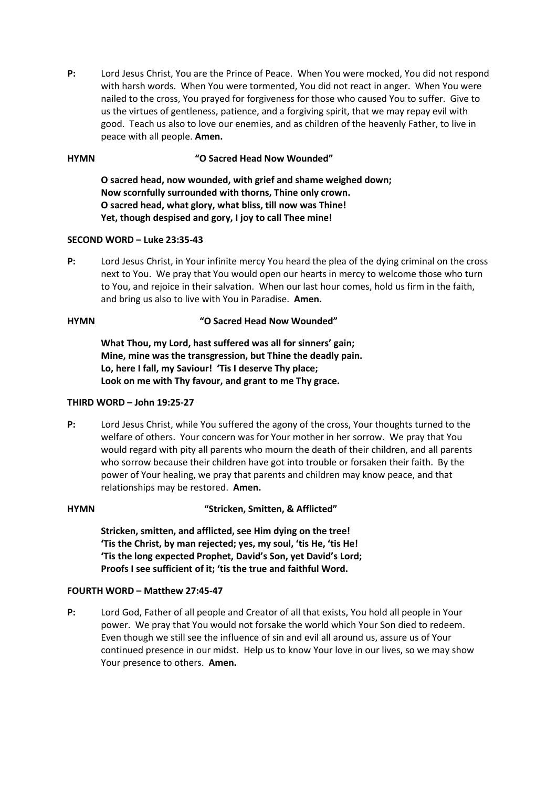**P:** Lord Jesus Christ, You are the Prince of Peace. When You were mocked, You did not respond with harsh words. When You were tormented, You did not react in anger. When You were nailed to the cross, You prayed for forgiveness for those who caused You to suffer. Give to us the virtues of gentleness, patience, and a forgiving spirit, that we may repay evil with good. Teach us also to love our enemies, and as children of the heavenly Father, to live in peace with all people. **Amen.** 

# **HYMN "O Sacred Head Now Wounded"**

**O sacred head, now wounded, with grief and shame weighed down; Now scornfully surrounded with thorns, Thine only crown. O sacred head, what glory, what bliss, till now was Thine! Yet, though despised and gory, I joy to call Thee mine!** 

# **SECOND WORD – Luke 23:35-43**

**P:** Lord Jesus Christ, in Your infinite mercy You heard the plea of the dying criminal on the cross next to You. We pray that You would open our hearts in mercy to welcome those who turn to You, and rejoice in their salvation. When our last hour comes, hold us firm in the faith, and bring us also to live with You in Paradise. **Amen.** 

# **HYMN "O Sacred Head Now Wounded"**

**What Thou, my Lord, hast suffered was all for sinners' gain; Mine, mine was the transgression, but Thine the deadly pain. Lo, here I fall, my Saviour! 'Tis I deserve Thy place; Look on me with Thy favour, and grant to me Thy grace.** 

# **THIRD WORD – John 19:25-27**

**P:** Lord Jesus Christ, while You suffered the agony of the cross, Your thoughts turned to the welfare of others. Your concern was for Your mother in her sorrow. We pray that You would regard with pity all parents who mourn the death of their children, and all parents who sorrow because their children have got into trouble or forsaken their faith. By the power of Your healing, we pray that parents and children may know peace, and that relationships may be restored. **Amen.** 

# **HYMN "Stricken, Smitten, & Afflicted"**

**Stricken, smitten, and afflicted, see Him dying on the tree! 'Tis the Christ, by man rejected; yes, my soul, 'tis He, 'tis He! 'Tis the long expected Prophet, David's Son, yet David's Lord; Proofs I see sufficient of it; 'tis the true and faithful Word.** 

# **FOURTH WORD – Matthew 27:45-47**

**P:** Lord God, Father of all people and Creator of all that exists, You hold all people in Your power. We pray that You would not forsake the world which Your Son died to redeem. Even though we still see the influence of sin and evil all around us, assure us of Your continued presence in our midst. Help us to know Your love in our lives, so we may show Your presence to others. **Amen.**